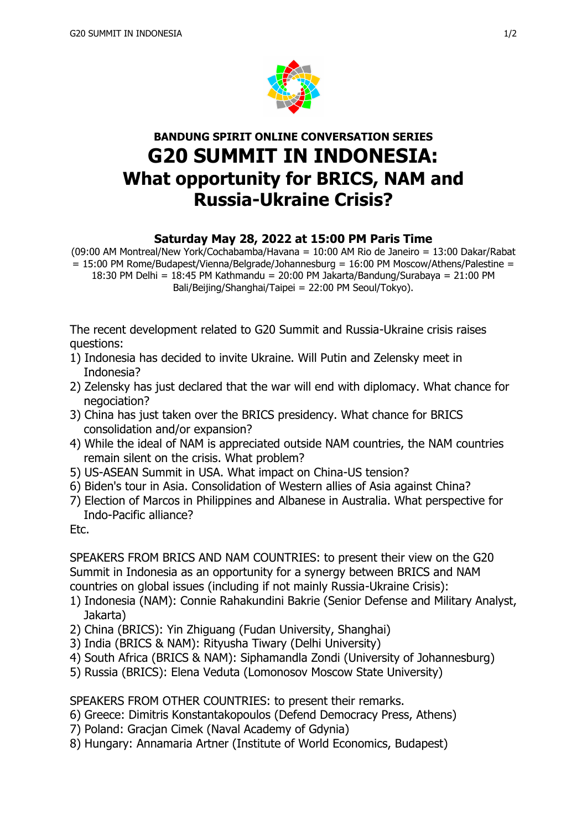

## **BANDUNG SPIRIT ONLINE CONVERSATION SERIES G20 SUMMIT IN INDONESIA: What opportunity for BRICS, NAM and Russia-Ukraine Crisis?**

## **Saturday May 28, 2022 at 15:00 PM Paris Time**

(09:00 AM Montreal/New York/Cochabamba/Havana = 10:00 AM Rio de Janeiro = 13:00 Dakar/Rabat  $= 15:00$  PM Rome/Budapest/Vienna/Belgrade/Johannesburg = 16:00 PM Moscow/Athens/Palestine = 18:30 PM Delhi = 18:45 PM Kathmandu = 20:00 PM Jakarta/Bandung/Surabaya = 21:00 PM Bali/Beijing/Shanghai/Taipei = 22:00 PM Seoul/Tokyo).

The recent development related to G20 Summit and Russia-Ukraine crisis raises questions:

- 1) Indonesia has decided to invite Ukraine. Will Putin and Zelensky meet in Indonesia?
- 2) Zelensky has just declared that the war will end with diplomacy. What chance for negociation?
- 3) China has just taken over the BRICS presidency. What chance for BRICS consolidation and/or expansion?
- 4) While the ideal of NAM is appreciated outside NAM countries, the NAM countries remain silent on the crisis. What problem?
- 5) US-ASEAN Summit in USA. What impact on China-US tension?
- 6) Biden's tour in Asia. Consolidation of Western allies of Asia against China?
- 7) Election of Marcos in Philippines and Albanese in Australia. What perspective for Indo-Pacific alliance?

Etc.

SPEAKERS FROM BRICS AND NAM COUNTRIES: to present their view on the G20 Summit in Indonesia as an opportunity for a synergy between BRICS and NAM countries on global issues (including if not mainly Russia-Ukraine Crisis):

- 1) Indonesia (NAM): Connie Rahakundini Bakrie (Senior Defense and Military Analyst, Jakarta)
- 2) China (BRICS): Yin Zhiguang (Fudan University, Shanghai)
- 3) India (BRICS & NAM): Rityusha Tiwary (Delhi University)
- 4) South Africa (BRICS & NAM): Siphamandla Zondi (University of Johannesburg)
- 5) Russia (BRICS): Elena Veduta (Lomonosov Moscow State University)

SPEAKERS FROM OTHER COUNTRIES: to present their remarks.

- 6) Greece: Dimitris Konstantakopoulos (Defend Democracy Press, Athens)
- 7) Poland: Gracjan Cimek (Naval Academy of Gdynia)
- 8) Hungary: Annamaria Artner (Institute of World Economics, Budapest)